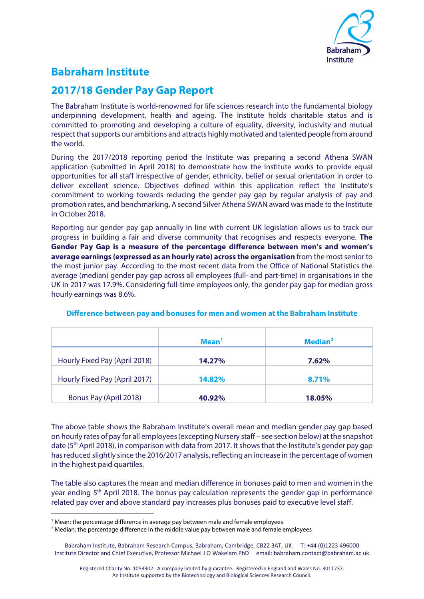

# **Babraham Institute**

# **2017/18 Gender Pay Gap Report**

The Babraham Institute is world-renowned for life sciences research into the fundamental biology underpinning development, health and ageing. The Institute holds charitable status and is committed to promoting and developing a culture of equality, diversity, inclusivity and mutual respect that supports our ambitions and attracts highly motivated and talented people from around the world.

During the 2017/2018 reporting period the Institute was preparing a second Athena SWAN application (submitted in April 2018) to demonstrate how the Institute works to provide equal opportunities for all staff irrespective of gender, ethnicity, belief or sexual orientation in order to deliver excellent science. Objectives defined within this application reflect the Institute's commitment to working towards reducing the gender pay gap by regular analysis of pay and promotion rates, and benchmarking. A second Silver Athena SWAN award was made to the Institute in October 2018.

Reporting our gender pay gap annually in line with current UK legislation allows us to track our progress in building a fair and diverse community that recognises and respects everyone. **The Gender Pay Gap is a measure of the percentage difference between men's and women's average earnings (expressed as an hourly rate) across the organisation** from the most senior to the most junior pay. According to the most recent data from the Office of National Statistics the average (median) gender pay gap across all employees (full- and part-time) in organisations in the UK in 2017 was 17.9%. Considering full-time employees only, the gender pay gap for median gross hourly earnings was 8.6%.

|                               | Mean <sup>1</sup> | Median <sup>2</sup> |
|-------------------------------|-------------------|---------------------|
| Hourly Fixed Pay (April 2018) | 14.27%            | 7.62%               |
| Hourly Fixed Pay (April 2017) | <b>14.82%</b>     | 8.71%               |
| Bonus Pay (April 2018)        | 40.92%            | 18.05%              |

## **Difference between pay and bonuses for men and women at the Babraham Institute**

The above table shows the Babraham Institute's overall mean and median gender pay gap based on hourly rates of pay for all employees (excepting Nursery staff – see section below) at the snapshot date (5<sup>th</sup> April 2018), in comparison with data from 2017. It shows that the Institute's gender pay gap has reduced slightly since the 2016/2017 analysis, reflecting an increase in the percentage of women in the highest paid quartiles.

The table also captures the mean and median difference in bonuses paid to men and women in the year ending  $5<sup>th</sup>$  April 2018. The bonus pay calculation represents the gender gap in performance related pay over and above standard pay increases plus bonuses paid to executive level staff.

<u>.</u>

<span id="page-0-0"></span><sup>&</sup>lt;sup>1</sup> Mean: the percentage difference in average pay between male and female employees

<span id="page-0-1"></span><sup>&</sup>lt;sup>2</sup> Median: the percentage difference in the middle value pay between male and female employees

Babraham Institute, Babraham Research Campus, Babraham, Cambridge, CB22 3AT, UK T: +44 (0)1223 496000 Institute Director and Chief Executive, Professor Michael J O Wakelam PhD email: babraham.contact@babraham.ac.uk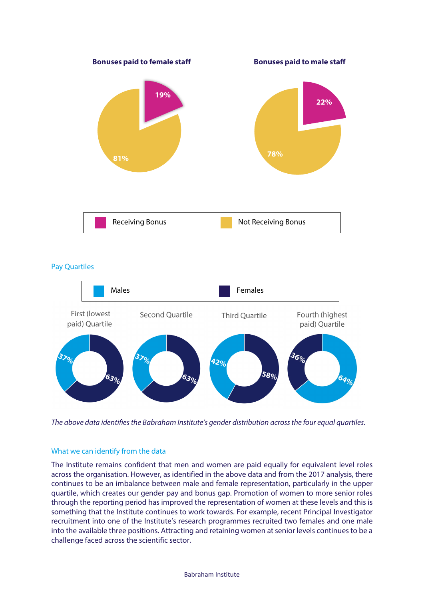

#### Pay Quartiles



*The above data identifies the Babraham Institute's gender distribution across the four equal quartiles.*

## What we can identify from the data

The Institute remains confident that men and women are paid equally for equivalent level roles across the organisation. However, as identified in the above data and from the 2017 analysis, there continues to be an imbalance between male and female representation, particularly in the upper quartile, which creates our gender pay and bonus gap. Promotion of women to more senior roles through the reporting period has improved the representation of women at these levels and this is something that the Institute continues to work towards. For example, recent Principal Investigator recruitment into one of the Institute's research programmes recruited two females and one male into the available three positions. Attracting and retaining women at senior levels continues to be a challenge faced across the scientific sector.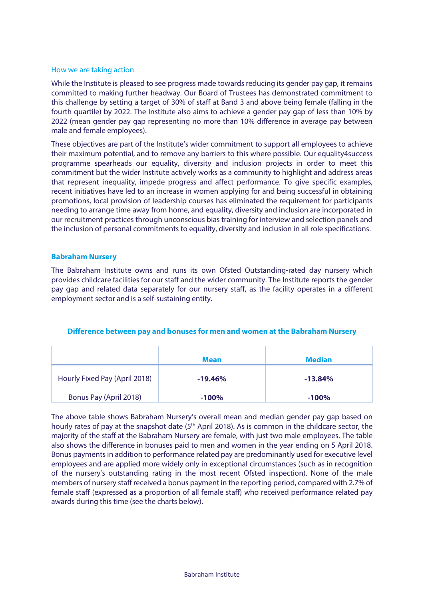#### How we are taking action

While the Institute is pleased to see progress made towards reducing its gender pay gap, it remains committed to making further headway. Our Board of Trustees has demonstrated commitment to this challenge by setting a target of 30% of staff at Band 3 and above being female (falling in the fourth quartile) by 2022. The Institute also aims to achieve a gender pay gap of less than 10% by 2022 (mean gender pay gap representing no more than 10% difference in average pay between male and female employees).

These objectives are part of the Institute's wider commitment to support all employees to achieve their maximum potential, and to remove any barriers to this where possible. Our equality4success programme spearheads our equality, diversity and inclusion projects in order to meet this commitment but the wider Institute actively works as a community to highlight and address areas that represent inequality, impede progress and affect performance. To give specific examples, recent initiatives have led to an increase in women applying for and being successful in obtaining promotions, local provision of leadership courses has eliminated the requirement for participants needing to arrange time away from home, and equality, diversity and inclusion are incorporated in our recruitment practices through unconscious bias training for interview and selection panels and the inclusion of personal commitments to equality, diversity and inclusion in all role specifications.

#### **Babraham Nursery**

The Babraham Institute owns and runs its own Ofsted Outstanding-rated day nursery which provides childcare facilities for our staff and the wider community. The Institute reports the gender pay gap and related data separately for our nursery staff, as the facility operates in a different employment sector and is a self-sustaining entity.

#### **Difference between pay and bonuses for men and women at the Babraham Nursery**

|                               | <b>Mean</b> | <b>Median</b> |
|-------------------------------|-------------|---------------|
| Hourly Fixed Pay (April 2018) | $-19.46\%$  | $-13.84\%$    |
| Bonus Pay (April 2018)        | $-100%$     | $-100%$       |

The above table shows Babraham Nursery's overall mean and median gender pay gap based on hourly rates of pay at the snapshot date (5<sup>th</sup> April 2018). As is common in the childcare sector, the majority of the staff at the Babraham Nursery are female, with just two male employees. The table also shows the difference in bonuses paid to men and women in the year ending on 5 April 2018. Bonus payments in addition to performance related pay are predominantly used for executive level employees and are applied more widely only in exceptional circumstances (such as in recognition of the nursery's outstanding rating in the most recent Ofsted inspection). None of the male members of nursery staff received a bonus payment in the reporting period, compared with 2.7% of female staff (expressed as a proportion of all female staff) who received performance related pay awards during this time (see the charts below).